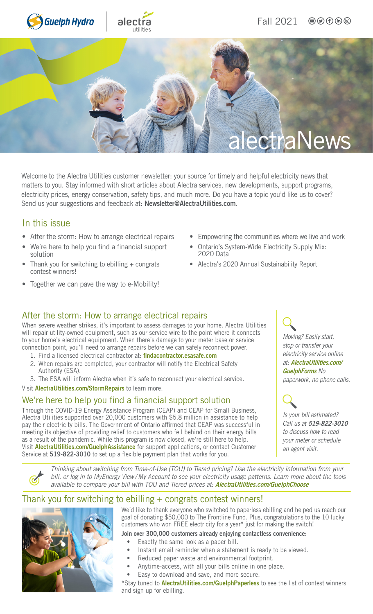





Welcome to the Alectra Utilities customer newsletter: your source for timely and helpful electricity news that matters to you. Stay informed with short articles about Alectra services, new developments, support programs, electricity prices, energy conservation, safety tips, and much more. Do you have a topic you'd like us to cover? Send us your suggestions and feedback at: [Newsletter@AlectraUtilities.com](mailto:newsletter@alectrautilities.com).

#### In this issue

- After the storm: How to arrange electrical repairs
- We're here to help you find a financial support solution
- Thank you for switching to ebilling  $+$  congrats contest winners!
- Together we can pave the way to e-Mobility!
- Empowering the communities where we live and work
- Ontario's System-Wide Electricity Supply Mix: 2020 Data
- Alectra's 2020 Annual Sustainability Report

#### After the storm: How to arrange electrical repairs

When severe weather strikes, it's important to assess damages to your home. Alectra Utilities will repair utility-owned equipment, such as our service wire to the point where it connects to your home's electrical equipment. When there's damage to your meter base or service connection point, you'll need to arrange repairs before we can safely reconnect power.

- 1. Find a licensed electrical contractor at: [findacontractor.esasafe.com](https://findacontractor.esasafe.com/)
- 2. When repairs are completed, your contractor will notify the Electrical Safety Authority (ESA).
- 3. The ESA will inform Alectra when it's safe to reconnect your electrical service.

Visit [AlectraUtilities.com/StormRepairs](https://alectrautilities.com/whos-responsible-storm-damage-repairs) to learn more.

#### We're here to help you find a financial support solution

Through the COVID-19 Energy Assistance Program (CEAP) and CEAP for Small Business, Alectra Utilities supported over 20,000 customers with \$5.8 million in assistance to help pay their electricity bills. The Government of Ontario affirmed that CEAP was successful in meeting its objective of providing relief to customers who fell behind on their energy bills as a result of the pandemic. While this program is now closed, we're still here to help. Visit [AlectraUtilities.com/GuelphAssistance](https://www.guelphhydro.com/en/billing-payments-and-moves/payment-assistance.aspx) for support applications, or contact Customer Service at 519-822-3010 to set up a flexible payment plan that works for you.

*Moving? Easily start, stop or transfer your electricity service online at:* [AlectraUtilities.com/](https://www.guelphhydro.com/en/billing-payments-and-moves/forms.aspx) [GuelphForms](https://www.guelphhydro.com/en/billing-payments-and-moves/forms.aspx) *No paperwork, no phone calls.*



*Is your bill estimated? Call us at* 519-822-3010 *to discuss how to read your meter or schedule an agent visit.*

*Thinking about switching from Time-of-Use (TOU) to Tiered pricing? Use the electricity information from your bill, or log in to MyEnergy View / My Account to see your electricity usage patterns. Learn more about the tools available to compare your bill with TOU and Tiered prices at:* [AlectraUtilities.com/GuelphChoose](https://www.guelphhydro.com/en/billing-payments-and-moves/choose-your-rate-option.aspx) 

### Thank you for switching to ebilling + congrats contest winners!



We'd like to thank everyone who switched to paperless ebilling and helped us reach our goal of donating \$50,000 to The Frontline Fund. Plus, congratulations to the 10 lucky customers who won FREE electricity for a year\* just for making the switch!

Join over 300,000 customers already enjoying contactless convenience:

- Exactly the same look as a paper bill.
- Instant email reminder when a statement is ready to be viewed.
- Reduced paper waste and environmental footprint.
- Anytime-access, with all your bills online in one place.
- Easy to download and save, and more secure.

\*Stay tuned to [AlectraUtilities.com/GuelphPaperless](https://www.guelphhydro.com/en/billing-payments-and-moves/ebilling.aspx) to see the list of contest winners and sign up for ebilling.